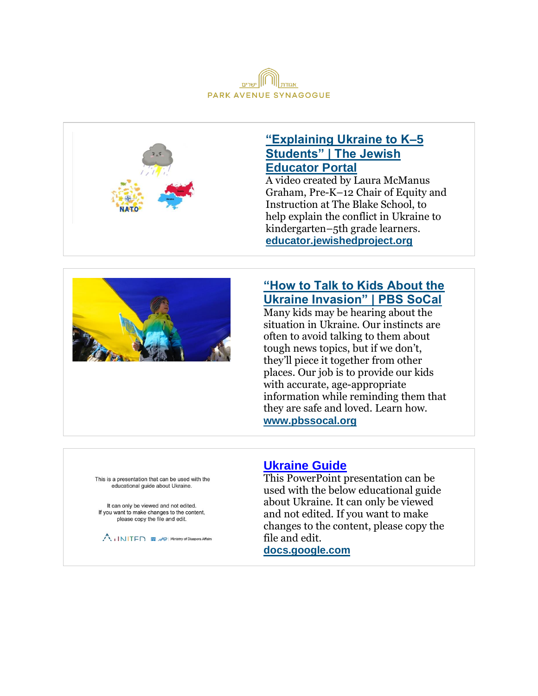



## **["Explaining Ukraine to K–5](https://educator.jewishedproject.org/content/explaining-ukraine-k-5-students)  [Students" | The Jewish](https://educator.jewishedproject.org/content/explaining-ukraine-k-5-students)  [Educator Portal](https://educator.jewishedproject.org/content/explaining-ukraine-k-5-students)**

A video created by Laura McManus Graham, Pre-K–12 Chair of Equity and Instruction at The Blake School, to help explain the conflict in Ukraine to kindergarten–5th grade learners. **[educator.jewishedproject.org](http://educator.jewishedproject.org/)**



# **["How to Talk to Kids About the](https://www.pbssocal.org/education/how-to-talk-to-kids-about-the-ukraine-invasion)  [Ukraine Invasion" | PBS SoCal](https://www.pbssocal.org/education/how-to-talk-to-kids-about-the-ukraine-invasion)**

Many kids may be hearing about the situation in Ukraine. Our instincts are often to avoid talking to them about tough news topics, but if we don't, they'll piece it together from other places. Our job is to provide our kids with accurate, age-appropriate information while reminding them that they are safe and loved. Learn how. **[www.pbssocal.org](http://www.pbssocal.org/)**

This is a presentation that can be used with the educational quide about Ukraine.

It can only be viewed and not edited. If you want to make changes to the content, please copy the file and edit.

Ministry of Diaspora Affairs

### **[Ukraine Guide](https://docs.google.com/presentation/d/1yZ9FYDFWnWd7g7lrpSTiAzRCxGwmezcxOKlPopRXQF0/edit#slide=id.g11721cf1619_0_44)**

This PowerPoint presentation can be used with the below educational guide about Ukraine. It can only be viewed and not edited. If you want to make changes to the content, please copy the file and edit.

**[docs.google.com](http://docs.google.com/)**